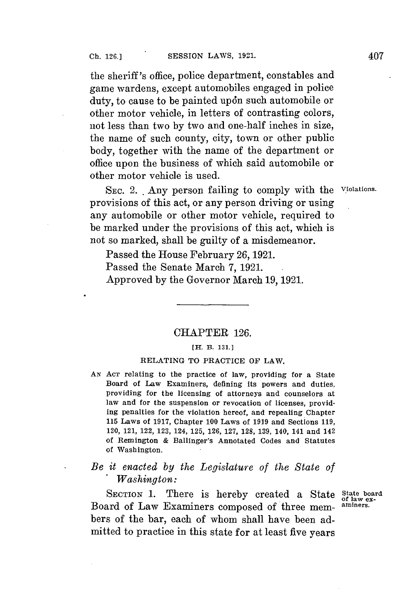the sheriff's office, police department, constables and game wardens, except automobiles engaged in police duty, to cause to be painted upon such automobile or other motor vehicle, in letters of contrasting colors, not less than two **by** two and one-half inches in size, the name of such county, city, town or other public body, together with the name of the department or office upon the business of which said automobile or other motor vehicle is used.

**SEC.** 2. **.** Any person failing to comply with the **violations.** provisions of this act, or any person driving or using any automobile or other motor vehicle, required to be marked under the provisions of this act, which is not so marked, shall be guilty of a misdemeanor.

Passed the House February **26, 1921.**

Passed the Senate March **7, 1921.**

Approved **by** the Governor March **19, 1921.**

### CHAPTER **126.**

#### **[H. B. 131.1**

### **RELATING TO PRACTICE OF LAW.**

**AN ACT relating to the practice of law, providing for a State Board of Law Examiners, defining its powers and duties, providing for the licensing of attorneys and counselors at law and for the suspension or revocation of licenses, providing penalties for the violation hereof, and repealing Chapter 115 Laws of 1917, Chapter 100 Laws of 1919 and Sections 119, 120, 121, 122, 123, 124, 125, 126, 127, 128, 139, 140, 141 and 142 of Remington & Ballinger's Annotated Codes and Statutes of Washington.**

# *Be it enacted by the Legislature of the State of* **.** *Washington:*

SECTION 1. There is hereby created a State State board Board of Law Examiners composed of three mem- **aminers.** bers of the bar, each of whom shall have been admitted to practice in this state **for** at least five years

**of law ex-**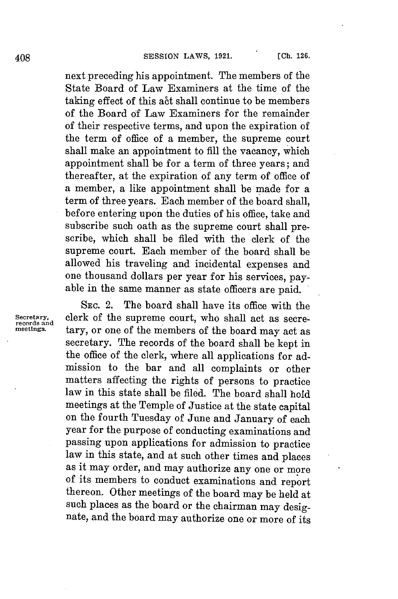next preceding his appointment. The members of the State Board of Law Examiners at the time of the taking effect of this act shall continue to be members of the Board **of** Law Examiners for the remainder of their respective terms, and upon the expiration of the term of office of a member, the supreme court shall make an appointment to fill the vacancy, which appointment shall be for a term of three years; and thereafter, at the expiration of any term of office of a member, a like appointment shall be made for a term of three years. Each member of the board shall, before entering upon the duties of his office, take and subscribe such oath as the supreme court shall prescribe, which shall be filed with the clerk of the supreme court. Each member of the board shall be allowed his traveling and incidental expenses and one thousand dollars per year for his services, payable in the same manner as state officers are paid.

SEC. 2. The board shall have its office with the **secretary, clerk of the supreme court, who shall act as secre- records** and *there* **cr** or one of the members of the beard may act as tary, or one of the members of the board may act as secretary. The records of the board shall be kept in the office of the clerk, where all applications for admission to the bar and all complaints or other matters affecting the rights of persons to practice law in this state shall be filed. The board shall hold meetings at the Temple of Justice at the state capital on the fourth Tuesday of June and January of each year for the purpose of conducting examinations and passing upon applications for admission to practice law in this state, and at such other times and places as it may order, and may authorize any one or more of its members to conduct examinations and report thereon. Other meetings of the board may be held at such places as the board or the chairman may designate, and the board may authorize one or more of its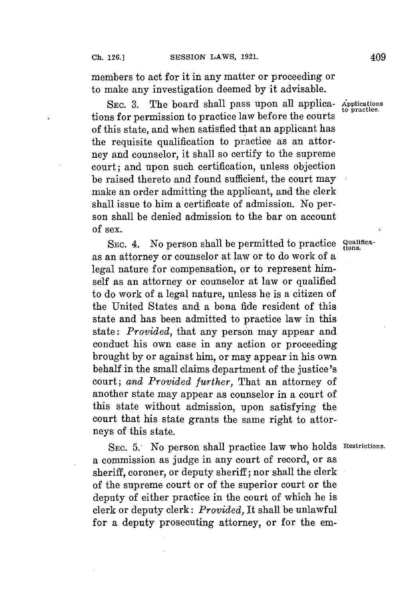members to act for it in any matter or proceeding or to make any investigation deemed **by** it advisable.

SEC. 3. The board shall pass upon all applications **for** permission to practice law before the courts of this state, and when satisfied that an applicant has the requisite qualification to practice as an attorney and counselor, it shall so certify to the supreme court; and upon such certification, unless objection be raised thereto and found sufficient, the court may make an order admitting the applicant, and the clerk shall issue to him a certificate of admission. No person shall be denied admission to the bar on account of sex.

SEC. 4. No person shall be permitted to practice *Qualifica*as an attorney or counselor at law or to do work of a legal nature for compensation, or to represent himself as an attorney or counselor at law or qualified to do work of a legal nature, unless he is a citizen of the United States and a bona fide resident of this state and has been admitted to practice law in this state: *Provided,* that any person may appear and conduct his own case in any action or proceeding brought **by** or against him, or may appear in his own behalf in the small claims department of the justice's court; *and Provided further,* That an attorney of another state may appear as counselor in a court of this state without admission, upon satisfying the court that his state grants the same right to attorneys of this state.

SEc. **5.** No person shall practice law who holds **Restrictions.** a commission as judge in any court of record, or as sheriff, coroner, or deputy sheriff; nor shall the clerk of the supreme court or of the superior court or the deputy of either practice in the court of which he is clerk or deputy clerk: *Provided,* It shall be unlawful for a deputy prosecuting attorney, or for the em-

**to practice.**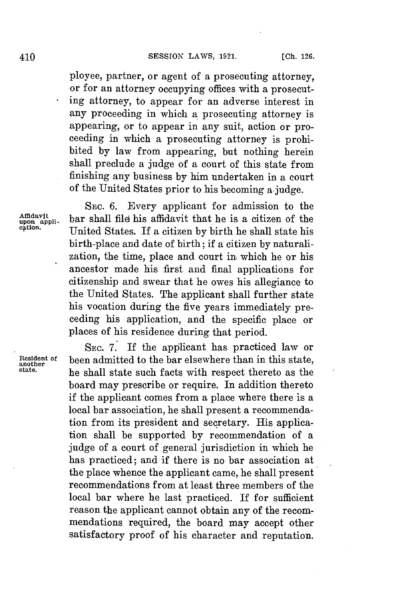ployee, partner, or agent of a prosecuting attorney, or for an attorney occupying offices with a prosecuting attorney, to appear for an adverse interest in any proceeding in which a prosecuting attorney is appearing, or to appear in any suit, action or proceeding in which a prosecuting attorney is prohibited **by** law from appearing, but nothing herein shall preclude a judge of a court of this state from finishing any business **by** him undertaken in a court of the United States prior to his becoming ajudge.

Affidavit<br>upon appli-<br>cation.

**SEc. 6.** Every applicant for admission to the bar shall file his affidavit that he is a citizen of the **cation.** United States. If a citizen **by** birth he shall state his birth-place and date of birth; if a citizen **by** naturalization, the time, place and court in which he or his ancestor made his first and final applications for citizenship and swear that he owes his allegiance to the United States. The applicant shall further state his vocation during the five years immediately preceding his application, and the specific place or places of his residence during that period.

**SEc. 7.** If the applicant has practiced law or **Resident of been admitted to the bar elsewhere than in this state, and** the distribution of the state,  $\frac{1}{n}$  and  $\frac{1}{n}$  and  $\frac{1}{n}$  and  $\frac{1}{n}$  a legal  $\frac{1}{n}$  and  $\frac{1}{n}$  and  $\frac{1}{n}$  are not then the **state.** he shall state such facts with respect thereto as the board may prescribe or require. In addition thereto if the applicant comes from a place where there is a local bar association, he shall present a recommendation from its president and secretary. His application shall be supported **by** recommendation of a judge of a court of general jurisdiction in which he has practiced; and if there is no bar association at the place whence the applicant came, he shall present recommendations from at least three members of the local bar where he last practiced. If for sufficient reason the applicant cannot obtain any of the recommendations required, the board may accept other satisfactory proof of his character and reputation.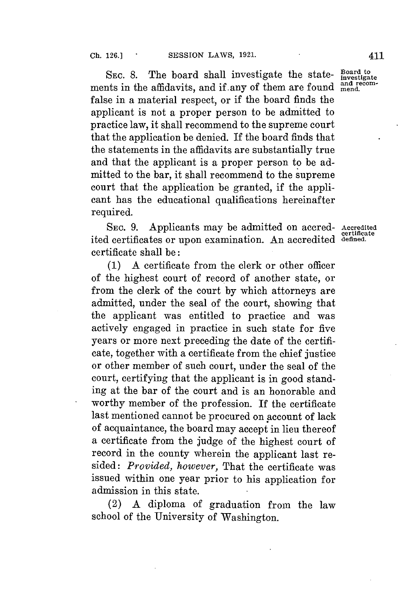SEC. 8. The board shall investigate the state-  $\frac{Board to}{instead}$ ments in the affidavits, and if any of them are found and red false in a material respect, or if the board finds the applicant is not a proper person to be admitted to practice law, it shall recommend to the supreme court that the application be denied. If the board finds that the statements in the affidavits are substantially true and that the applicant is a proper person to be admitted to the bar, it shall recommend to the supreme court that the application be granted, if the applicant has the educational qualifications hereinafter required.

SEc. **9.** Applicants may be admitted on accred- **Accredited** ited certificates or upon examination. An accredited defined. certificate shall be:

**(1) A** certificate from the clerk or other officer of the highest court of record of another state, or from the clerk of the court **by** which attorneys are admitted, under the seal of the court, showing that the applicant was entitled to practice and was actively engaged in practice in such state for five years or more next preceding the date of the certificate, together with a certificate from the chief justice or other member of such court, under the seal of the court, certifying that the applicant is in good standing at the bar of the court and is an honorable and worthy member of the profession. If the certificate last mentioned cannot be procured on account of lack of acquaintance, the board may accept in lieu thereof a certificate from the judge of the highest court of record in the county wherein the applicant last resided: *Provided, however,* That the certificate was issued within one year prior to his application for admission in this state.

(2) **A** diploma of graduation from the law school of the University of Washington.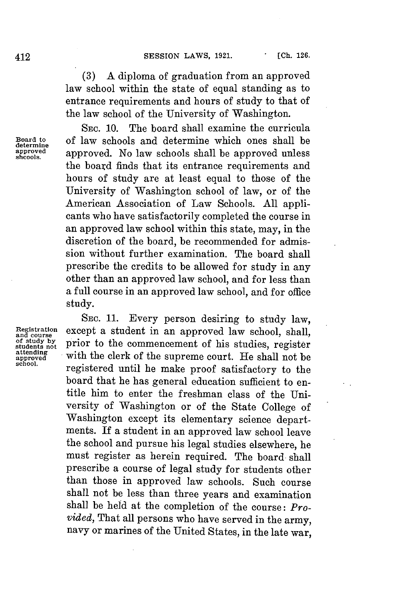**(3) A** diploma of graduation from an approved law school within the state of equal standing as to entrance requirements and hours of study to that of the law school of the University of Washington.

**SEC. 10.** The board shall examine the curricula  $\frac{\text{Board to}}{\text{determine}}$  of law schools and determine which ones shall be approved approved approved. No law schools shall be approved unless approved approved. No law schools shall be approved unless the board finds that its entrance requirements and hours of study are at least equal to those of the University of Washington school of law, or of the American Association of Law Schools. **All** applicants who have satisfactorily completed the course in an approved law school within this state, may, in the discretion of the board, be recommended for admission without further examination. The board shall prescribe the credits to be allowed for study in any other than an approved law school, and for less than a full course in an approved law school, and for office study.

**SEC. 11.** Every person desiring to study law, Registration except a student in an approved law school, shall, of study by prior to the commencement of his studies, register *ff***study by prior to the commencement of his studies, register attending** attending with the clerk of the supreme court. He shall not be shool. **school.** registered until he make proof satisfactory to the board that he has general education sufficient to entitle him to enter the freshman class of the University of Washington or of the State College of Washington except its elementary science departments. If a student in an approved law school leave the school and pursue his legal studies elsewhere, he must register as herein required. The board shall prescribe a course of legal study for students other than those in approved law schools. Such course shall not be less than three years and examination shall be held at the completion of the course: *Provided,* That all persons who have served in the army, navy or marines of the United States, in the late war,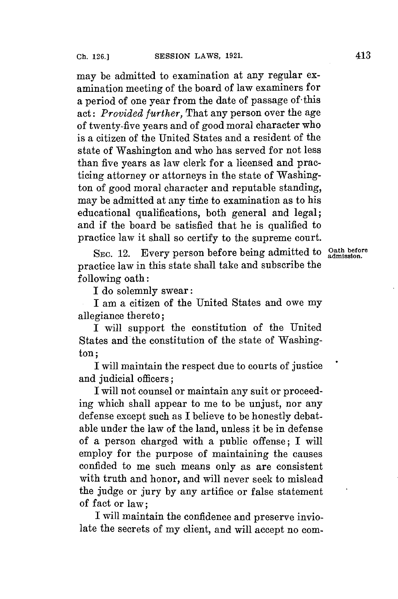may be admitted to examination at any regular examination meeting of the board of law examiners for a period of one year from the date of passage of -this act: *Provided further,* That any person over the age of twenty-five years and of good moral character who is a citizen of the United States and a resident of the state of Washington and who has served for not less than five years as law clerk for a licensed and practicing attorney or attorneys in the state of Washington of good moral character and reputable standing, may be admitted at any time to examination as to his educational qualifications, both general and legal; and if the board be satisfied that he is qualified to practice law it shall so certify to the supreme court.

SEC. 12. Every person before being admitted to *Oath before* practice law in this state shall take and subscribe the following oath:

I do solemnly swear:

I am a citizen of the United States and owe my allegiance thereto;

I will support the constitution of the United States and the constitution of the state of Washington;

I will maintain the respect due to courts of justice and judicial officers:

I will not counsel or maintain any suit or proceeding which shall appear to me to be unjust, nor any defense except such as I believe to be honestly debatable under the law of the land, unless it be in defense of a person charged with a public offense; I will employ for the purpose of maintaining the causes confided to me such means only as are consistent with truth and honor, and will never seek to mislead the judge or jury **by** any artifice or false statement of fact or law;

I will maintain the confidence and preserve inviolate the secrets of my client, and will accept no com-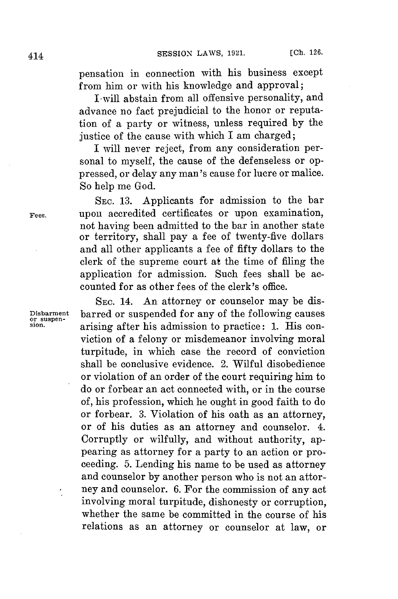pensation in connection with his business except from him or with his knowledge and approval;

I-will abstain from all offensive personality, and advance no fact prejudicial to the honor or reputation of a party or witness, unless required **by** the justice of the cause with which I am charged;

I will never reject, from any consideration personal to myself, the cause of the defenseless or oppressed, or delay any man's cause **for** lucre or malice. So help me God.

**SEc. 13.** Applicants for admission to the bar **Fees.** upon accredited certificates or upon examination, not having been admitted to the bar in another state or territory, shall pay a fee of twenty-five dollars and all other applicants a fee of fifty dollars to the clerk of the supreme court at the time of filing the application for admission. Such fees shall be accounted for as other fees of the clerk's office.

**SEC.** 14. An attorney or counselor may be dis-Disbarment barred or suspended for any of the following causes<br>
sion.<br> **original** after his admission to practice: 1 His con**sion.** arising after his admission to practice: **1.** His conviction of a felony or misdemeanor involving moral turpitude, in which case the record of conviction shall be conclusive evidence. 2. Wilful disobedience or violation of an order of the court requiring him to do or forbear an act connected with, or in the course of, his profession, which he ought in good faith to do or forbear. **3.** Violation of his oath as an attorney, or of his duties as an attorney and counselor. 4. Corruptly or wilfully, and without authority, appearing as attorney for a party to an action or proceeding. **5.** Lending his name to be used as attorney and counselor **by** another person who is not an attorney and counselor. **6.** For the commission of any act involving moral turpitude, dishonesty or corruption, whether the same be committed in the course of his relations as an attorney or counselor at law, or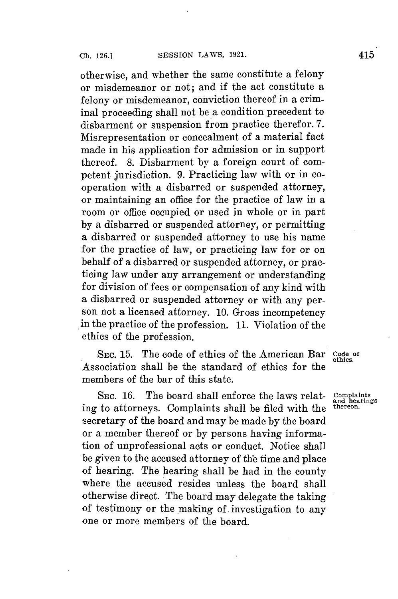otherwise, and whether the same constitute a felony or misdemeanor or not; and if the act constitute a felony or misdemeanor, conviction thereof in a criminal proceeding shall not be a condition precedent to disbarment or suspension from practice therefor. **7.** Misrepresentation or concealment of a material fact made in his application for admission or in support thereof. **8.** Disbarment **by** a foreign court of competent jurisdiction. **9.** Practicing law with or in cooperation with a disbarred or suspended attorney, or maintaining an office for the practice of law in a room or office occupied or used in whole or in part **by** a disbarred or suspended attorney, or permitting a disbarred or suspended attorney to use his name for the practice of law, or practicing law **for** or on behalf of a disbarred or suspended attorney, or practicing law under any arrangement or understanding for division of fees or compensation of any kind with a disbarred or suspended attorney or with any person not a licensed attorney. **10.** Gross incompetency in the practice of the profession. **11.** Violation of the ethics of the profession.

**SEC. 15.** The code of ethics of the American Bar **Code of** Association shall be the standard of ethics for the members of the bar of this state.

SEC. 16. The board shall enforce the laws relat- complaints<br>to attorneys. Complaints shall be filed with the thereon. ing to attorneys. Complaints shall be filed with the secretary of the board and may be made **by** the board or a member thereof or **by** persons having information of unprofessional acts or conduct. Notice shall be given to the accused attorney of the time and place of hearing. The hearing shall be had in the county where the accused resides unless the board shall otherwise direct. The board may delegate the taking of testimony or the making of. investigation to any one or more members of the board.

**ethics.**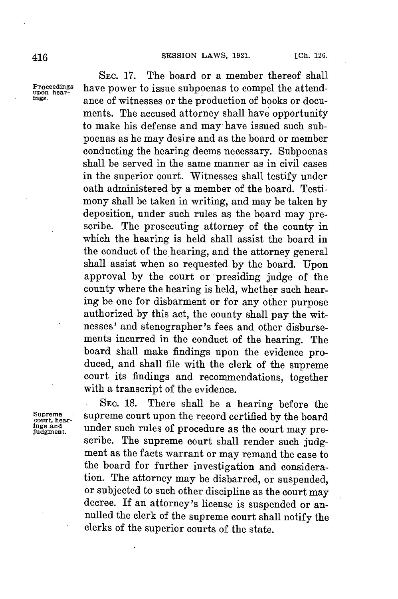**SEC. 17.** The board or a member thereof shall **Proceedings** have power to issue subpoenas to compel the attend-<br> **upon hear-**<br> **upon and a function** of health and health and health **ings.** ance of witnesses or the production of books or documents. The accused attorney shall have opportunity to make his defense and may have issued such subpoenas as he may desire and as the board or member conducting the hearing deems necessary. Subpoenas shall be served in the same manner as in civil cases in the superior court. Witnesses shall testify under oath administered **by** a member of the board. Testimony shall be taken in writing, and may be taken **by** deposition, under such rules as the board may prescribe. The prosecuting attorney of the county in which the hearing is held shall assist the board in the conduct of the hearing, and the attorney general shall assist when so requested **by** the board. Upon approval **by** the court or presiding judge of the county where the hearing is held, whether such hearing be one for disbarment or for any other purpose authorized **by** this act, the county shall pay the witnesses' and stenographer's fees and other disbursements incurred in the conduct of the hearing. The board shall make findings upon the evidence produced, and shall file with the clerk of the supreme court its findings and recommendations, together with a transcript of the evidence.

Supreme<br>court, hear-<br>ings and<br>judgment.

**. SEC. 18.** There shall be a hearing before the supreme court upon the record certified by the board under such rules of procedure as the court may prescribe. The supreme court shall render such **judg**ment as the facts warrant or may remand the case to the board for further investigation and consideration. The attorney may be disbarred, or suspended, or subjected to such other discipline as the court may decree. If an attorney's license is suspended or annulled the clerk of the supreme court shall notify the clerks of the superior courts of the state.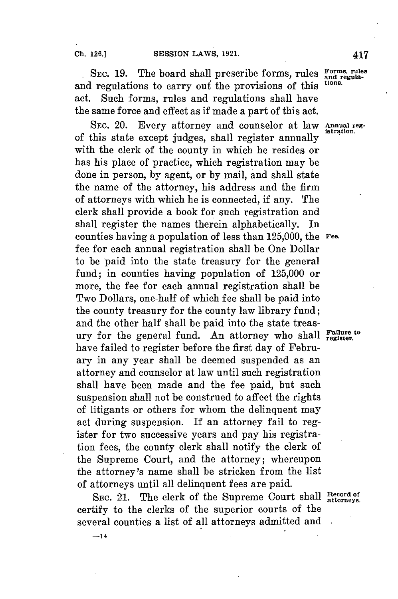**-14**

SEC. 19. The board shall prescribe forms, rules Forms, rules and regulations to carry ouf the provisions of this **tions.** act. Such forms, rules and regulations shall have the same force and effect as if made a part of this act.

SEC. 20. Every attorney and counselor at law Annual reg-<br>of this state except judges, shall register annually with the clerk of the county in which he resides or has his place of practice, which registration may be done in person, **by** agent, or **by** mail, and shall state the name of the attorney, his address and the firm of attorneys with which he is connected, if any. The clerk shall provide a book for such registration and shall register the names therein alphabetically. In counties having a population of less than **125,000,** the **Fee.** fee for each annual registration shall be One Dollar to be paid into the state treasury for the general fund; in counties having population of **125,000** or more, the fee for each annual registration shall be Two Dollars, one-half of which fee shall be paid into the county treasury for the county law library fund; and the other half shall be paid into the state treasury for the general fund. An attorney who shall Fallure to have failed to register before the first day of February in any year shall be deemed suspended as an attorney and counselor at law until such registration shall have been made and the fee paid, but such suspension shall not be construed to affect the rights of litigants or others for whom the delinquent may act during suspension. If an attorney fail to register for two successive years and pay his registration fees, the county clerk shall notify the clerk of the Supreme Court, and the attorney; whereupon the attorney's name shall be stricken from the list of attorneys until all delinquent fees are paid.

SEC. 21. The clerk of the Supreme Court shall  $\frac{\text{Record of}}{\text{attorness}}$ certify to the clerks of the superior courts of the several counties a list of all attorneys admitted and